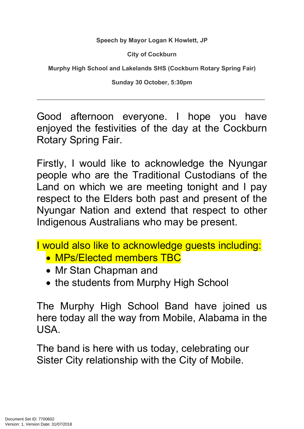**Speech by Mayor Logan K Howlett, JP**

**City of Cockburn**

**Murphy High School and Lakelands SHS (Cockburn Rotary Spring Fair)**

**Sunday 30 October, 5:30pm**

\_\_\_\_\_\_\_\_\_\_\_\_\_\_\_\_\_\_\_\_\_\_\_\_\_\_\_\_\_\_\_\_\_\_\_\_\_\_\_\_\_\_\_\_\_\_\_\_\_\_\_\_\_\_\_\_\_\_\_\_\_\_\_\_\_\_\_

Good afternoon everyone. I hope you have enjoyed the festivities of the day at the Cockburn Rotary Spring Fair.

Firstly, I would like to acknowledge the Nyungar people who are the Traditional Custodians of the Land on which we are meeting tonight and I pay respect to the Elders both past and present of the Nyungar Nation and extend that respect to other Indigenous Australians who may be present.

I would also like to acknowledge guests including:

- MPs/Elected members TBC
- Mr Stan Chapman and
- the students from Murphy High School

The Murphy High School Band have joined us here today all the way from Mobile, Alabama in the USA.

The band is here with us today, celebrating our Sister City relationship with the City of Mobile.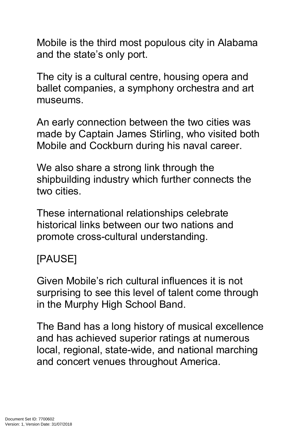Mobile is the third most populous city in Alabama and the state's only port.

The city is a cultural centre, housing opera and ballet companies, a symphony orchestra and art museums.

An early connection between the two cities was made by Captain James Stirling, who visited both Mobile and Cockburn during his naval career.

We also share a strong link through the shipbuilding industry which further connects the two cities.

These international relationships celebrate historical links between our two nations and promote cross-cultural understanding.

## [PAUSE]

Given Mobile's rich cultural influences it is not surprising to see this level of talent come through in the Murphy High School Band.

The Band has a long history of musical excellence and has achieved superior ratings at numerous local, regional, state-wide, and national marching and concert venues throughout America.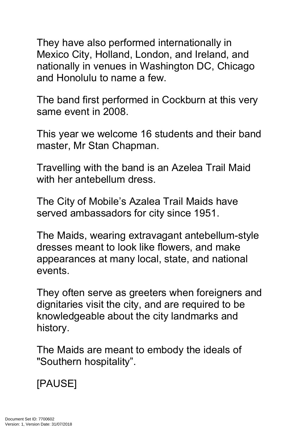They have also performed internationally in Mexico City, Holland, London, and Ireland, and nationally in venues in Washington DC, Chicago and Honolulu to name a few.

The band first performed in Cockburn at this very same event in 2008.

This year we welcome 16 students and their band master, Mr Stan Chapman.

Travelling with the band is an Azelea Trail Maid with her antebellum dress.

The City of Mobile's Azalea Trail Maids have served ambassadors for city since 1951.

The Maids, wearing extravagant [antebellum-](https://en.wikipedia.org/wiki/History_of_the_United_States_(1789%E2%80%931849))style dresses meant to look like flowers, and make appearances at many local, state, and national events.

They often serve as greeters when foreigners and dignitaries visit the city, and are required to be knowledgeable about the city landmarks and history.

The Maids are meant to embody the ideals of "Southern [hospitality"](https://en.wikipedia.org/wiki/Southern_hospitality).